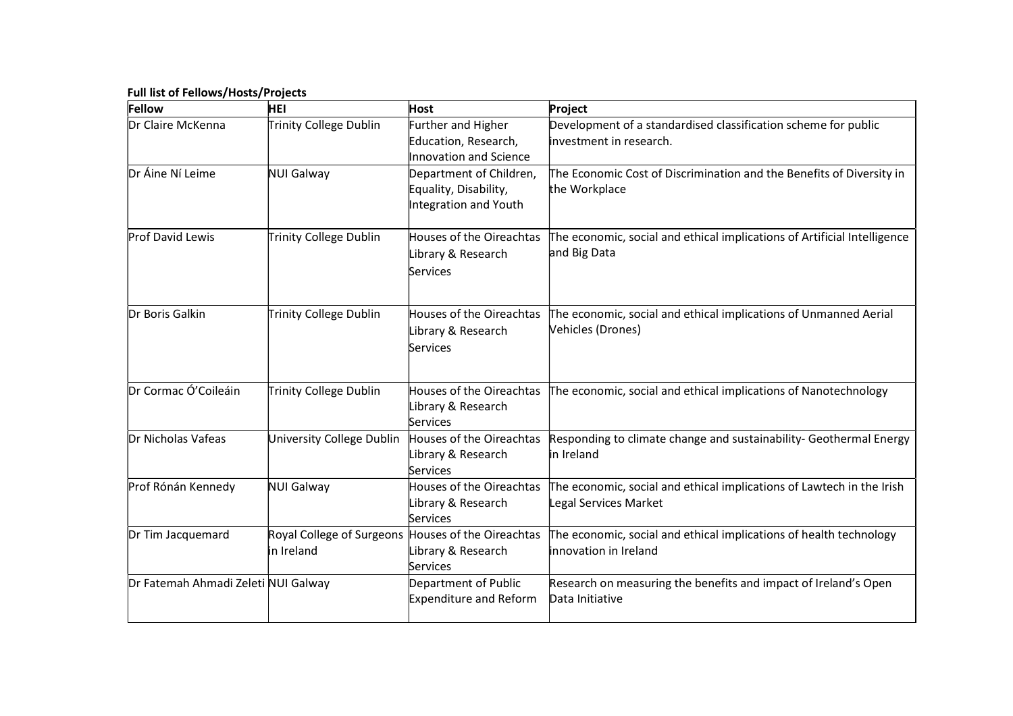## Full list of Fellows/Hosts/Projects

| Fellow                              | HEI                                     | Host                                                                      | Project                                                                                                         |
|-------------------------------------|-----------------------------------------|---------------------------------------------------------------------------|-----------------------------------------------------------------------------------------------------------------|
| Dr Claire McKenna                   | Trinity College Dublin                  | Further and Higher<br>Education, Research,<br>Innovation and Science      | Development of a standardised classification scheme for public<br>investment in research.                       |
| Dr Áine Ní Leime                    | NUI Galway                              | Department of Children,<br>Equality, Disability,<br>Integration and Youth | The Economic Cost of Discrimination and the Benefits of Diversity in<br>the Workplace                           |
| Prof David Lewis                    | Trinity College Dublin                  | Houses of the Oireachtas<br>Library & Research<br>Services                | The economic, social and ethical implications of Artificial Intelligence<br>and Big Data                        |
| Dr Boris Galkin                     | Trinity College Dublin                  | Library & Research<br>Services                                            | Houses of the Oireachtas  The economic, social and ethical implications of Unmanned Aerial<br>Vehicles (Drones) |
| Dr Cormac Ó'Coileáin                | Trinity College Dublin                  | Library & Research<br>Services                                            | Houses of the Oireachtas  The economic, social and ethical implications of Nanotechnology                       |
| Dr Nicholas Vafeas                  | University College Dublin               | Houses of the Oireachtas<br>Library & Research<br>Services                | Responding to climate change and sustainability- Geothermal Energy<br>in Ireland                                |
| Prof Rónán Kennedy                  | NUI Galway                              | <b>Houses of the Oireachtas</b><br>Library & Research<br>Services         | The economic, social and ethical implications of Lawtech in the Irish<br>Legal Services Market                  |
| Dr Tim Jacquemard                   | Royal College of Surgeons<br>in Ireland | Houses of the Oireachtas<br>Library & Research<br>Services                | The economic, social and ethical implications of health technology<br>innovation in Ireland                     |
| Dr Fatemah Ahmadi Zeleti NUI Galway |                                         | Department of Public<br><b>Expenditure and Reform</b>                     | Research on measuring the benefits and impact of Ireland's Open<br>Data Initiative                              |